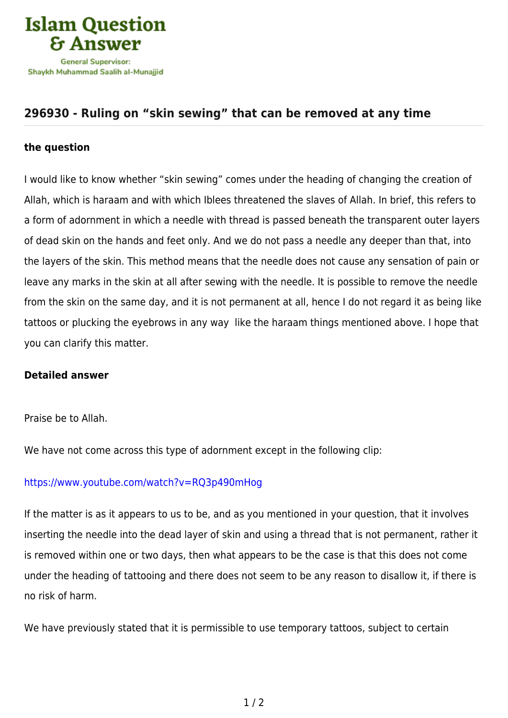

## **[296930 - Ruling on "skin sewing" that can be removed at any time](https://islamqa.com/en/answers/296930/ruling-on-skin-sewing-that-can-be-removed-at-any-time)**

## **the question**

I would like to know whether "skin sewing" comes under the heading of changing the creation of Allah, which is haraam and with which Iblees threatened the slaves of Allah. In brief, this refers to a form of adornment in which a needle with thread is passed beneath the transparent outer layers of dead skin on the hands and feet only. And we do not pass a needle any deeper than that, into the layers of the skin. This method means that the needle does not cause any sensation of pain or leave any marks in the skin at all after sewing with the needle. It is possible to remove the needle from the skin on the same day, and it is not permanent at all, hence I do not regard it as being like tattoos or plucking the eyebrows in any way like the haraam things mentioned above. I hope that you can clarify this matter.

## **Detailed answer**

Praise be to Allah.

We have not come across this type of adornment except in the following clip:

## <https://www.youtube.com/watch?v=RQ3p490mHog>

If the matter is as it appears to us to be, and as you mentioned in your question, that it involves inserting the needle into the dead layer of skin and using a thread that is not permanent, rather it is removed within one or two days, then what appears to be the case is that this does not come under the heading of tattooing and there does not seem to be any reason to disallow it, if there is no risk of harm.

We have previously stated that it is permissible to use temporary tattoos, subject to certain